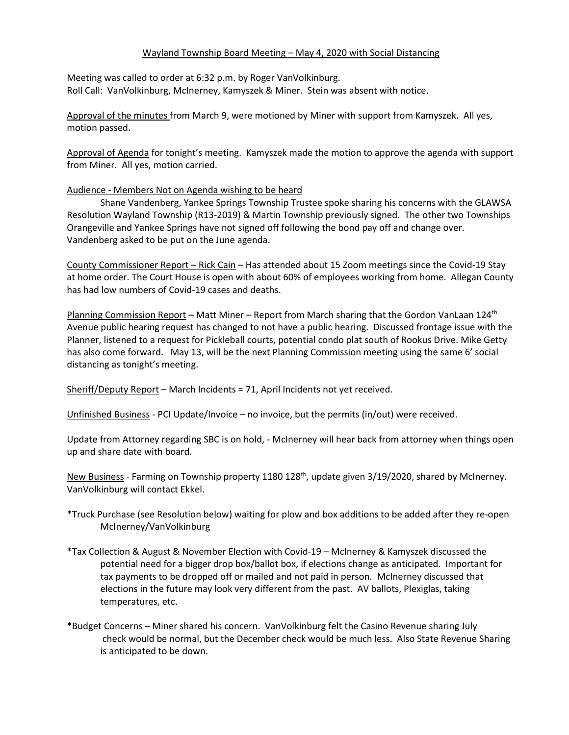## Wayland Township Board Meeting – May 4, 2020 with Social Distancing

Meeting was called to order at 6:32 p.m. by Roger VanVolkinburg. Roll Call: VanVolkinburg, McInerney, Kamyszek & Miner. Stein was absent with notice.

Approval of the minutes from March 9, were motioned by Miner with support from Kamyszek. All yes, motion passed.

Approval of Agenda for tonight's meeting. Kamyszek made the motion to approve the agenda with support from Miner. All yes, motion carried.

## Audience - Members Not on Agenda wishing to be heard

Shane Vandenberg, Yankee Springs Township Trustee spoke sharing his concerns with the GLAWSA Resolution Wayland Township (R13-2019) & Martin Township previously signed. The other two Townships Orangeville and Yankee Springs have not signed off following the bond pay off and change over. Vandenberg asked to be put on the June agenda.

County Commissioner Report – Rick Cain – Has attended about 15 Zoom meetings since the Covid-19 Stay at home order. The Court House is open with about 60% of employees working from home. Allegan County has had low numbers of Covid-19 cases and deaths.

<u>Planning Commission Report</u> – Matt Miner – Report from March sharing that the Gordon VanLaan 124<sup>th</sup> Avenue public hearing request has changed to not have a public hearing. Discussed frontage issue with the Planner, listened to a request for Pickleball courts, potential condo plat south of Rookus Drive. Mike Getty has also come forward. May 13, will be the next Planning Commission meeting using the same 6' social distancing as tonight's meeting.

Sheriff/Deputy Report – March Incidents = 71, April Incidents not yet received.

Unfinished Business - PCI Update/Invoice – no invoice, but the permits (in/out) were received.

Update from Attorney regarding SBC is on hold, - McInerney will hear back from attorney when things open up and share date with board.

New Business - Farming on Township property 1180 128<sup>th</sup>, update given 3/19/2020, shared by McInerney. VanVolkinburg will contact Ekkel.

- \*Truck Purchase (see Resolution below) waiting for plow and box additions to be added after they re-open McInerney/VanVolkinburg
- \*Tax Collection & August & November Election with Covid-19 McInerney & Kamyszek discussed the potential need for a bigger drop box/ballot box, if elections change as anticipated. Important for tax payments to be dropped off or mailed and not paid in person. McInerney discussed that elections in the future may look very different from the past. AV ballots, Plexiglas, taking temperatures, etc.
- \*Budget Concerns Miner shared his concern. VanVolkinburg felt the Casino Revenue sharing July check would be normal, but the December check would be much less. Also State Revenue Sharing is anticipated to be down.